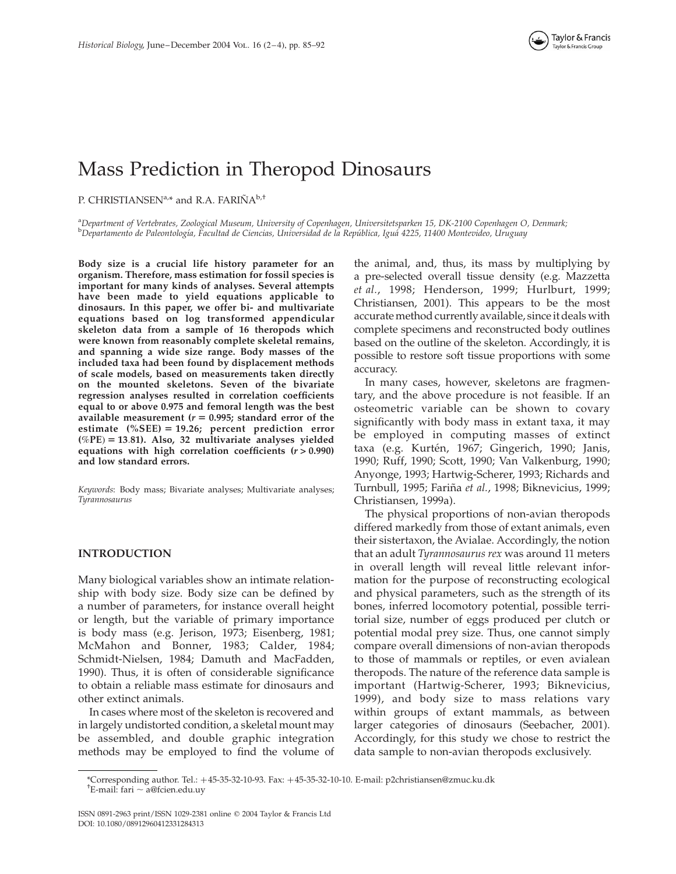# Mass Prediction in Theropod Dinosaurs

P. CHRISTIANSEN<sup>a,\*</sup> and R.A. FARIÑA<sup>b,†</sup>

a Department of Vertebrates, Zoological Museum, University of Copenhagen, Universitetsparken 15, DK-2100 Copenhagen O, Denmark; <sup>b</sup>Departamento de Paleontología, Facultad de Ciencias, Universidad de la República, Iguá 4225, 11400 Montevideo, Uruguay

Body size is a crucial life history parameter for an organism. Therefore, mass estimation for fossil species is important for many kinds of analyses. Several attempts have been made to yield equations applicable to dinosaurs. In this paper, we offer bi- and multivariate equations based on log transformed appendicular skeleton data from a sample of 16 theropods which were known from reasonably complete skeletal remains, and spanning a wide size range. Body masses of the included taxa had been found by displacement methods of scale models, based on measurements taken directly on the mounted skeletons. Seven of the bivariate regression analyses resulted in correlation coefficients equal to or above 0.975 and femoral length was the best available measurement ( $r = 0.995$ ; standard error of the estimate  $(% ^{0}C)$  = 19.26; percent prediction error  $(\%PE) = 13.81$ ). Also, 32 multivariate analyses yielded equations with high correlation coefficients  $(r > 0.990)$ and low standard errors.

Keywords: Body mass; Bivariate analyses; Multivariate analyses; Tyrannosaurus

## INTRODUCTION

Many biological variables show an intimate relationship with body size. Body size can be defined by a number of parameters, for instance overall height or length, but the variable of primary importance is body mass (e.g. Jerison, 1973; Eisenberg, 1981; McMahon and Bonner, 1983; Calder, 1984; Schmidt-Nielsen, 1984; Damuth and MacFadden, 1990). Thus, it is often of considerable significance to obtain a reliable mass estimate for dinosaurs and other extinct animals.

In cases where most of the skeleton is recovered and in largely undistorted condition, a skeletal mount may be assembled, and double graphic integration methods may be employed to find the volume of

the animal, and, thus, its mass by multiplying by a pre-selected overall tissue density (e.g. Mazzetta et al., 1998; Henderson, 1999; Hurlburt, 1999; Christiansen, 2001). This appears to be the most accurate method currently available, since it deals with complete specimens and reconstructed body outlines based on the outline of the skeleton. Accordingly, it is possible to restore soft tissue proportions with some accuracy.

In many cases, however, skeletons are fragmentary, and the above procedure is not feasible. If an osteometric variable can be shown to covary significantly with body mass in extant taxa, it may be employed in computing masses of extinct taxa (e.g. Kurtén, 1967; Gingerich, 1990; Janis, 1990; Ruff, 1990; Scott, 1990; Van Valkenburg, 1990; Anyonge, 1993; Hartwig-Scherer, 1993; Richards and Turnbull, 1995; Fariña et al., 1998; Biknevicius, 1999; Christiansen, 1999a).

The physical proportions of non-avian theropods differed markedly from those of extant animals, even their sistertaxon, the Avialae. Accordingly, the notion that an adult Tyrannosaurus rex was around 11 meters in overall length will reveal little relevant information for the purpose of reconstructing ecological and physical parameters, such as the strength of its bones, inferred locomotory potential, possible territorial size, number of eggs produced per clutch or potential modal prey size. Thus, one cannot simply compare overall dimensions of non-avian theropods to those of mammals or reptiles, or even avialean theropods. The nature of the reference data sample is important (Hartwig-Scherer, 1993; Biknevicius, 1999), and body size to mass relations vary within groups of extant mammals, as between larger categories of dinosaurs (Seebacher, 2001). Accordingly, for this study we chose to restrict the data sample to non-avian theropods exclusively.

<sup>\*</sup>Corresponding author. Tel.: <sup>þ</sup>45-35-32-10-93. Fax: <sup>þ</sup>45-35-32-10-10. E-mail: p2christiansen@zmuc.ku.dk †

 $E$ -mail: fari  $\sim$  a@fcien.edu.uy

ISSN 0891-2963 print/ISSN 1029-2381 online q 2004 Taylor & Francis Ltd DOI: 10.1080/08912960412331284313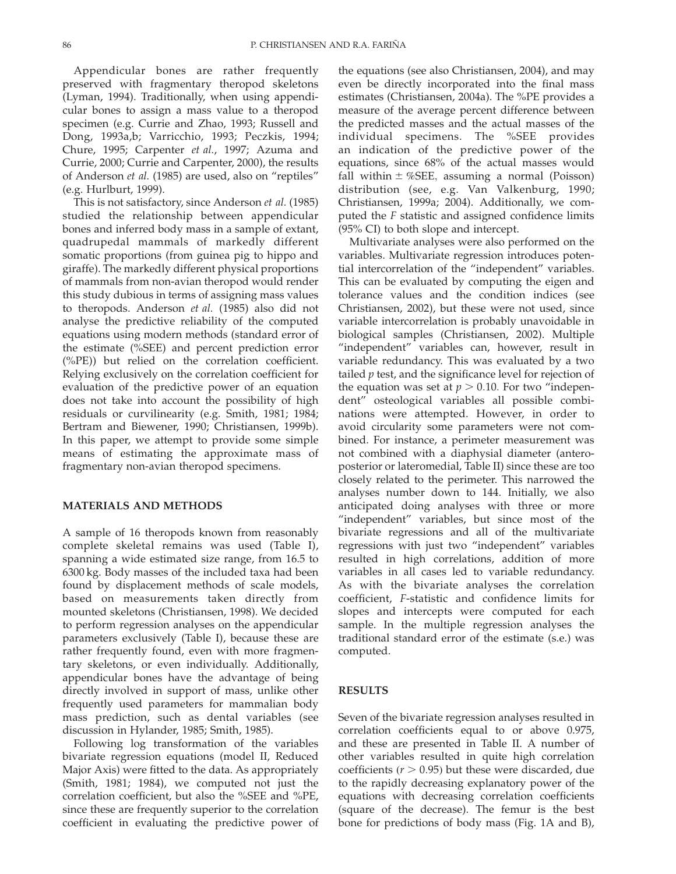Appendicular bones are rather frequently preserved with fragmentary theropod skeletons (Lyman, 1994). Traditionally, when using appendicular bones to assign a mass value to a theropod specimen (e.g. Currie and Zhao, 1993; Russell and Dong, 1993a,b; Varricchio, 1993; Peczkis, 1994; Chure, 1995; Carpenter et al., 1997; Azuma and Currie, 2000; Currie and Carpenter, 2000), the results of Anderson et al. (1985) are used, also on "reptiles" (e.g. Hurlburt, 1999).

This is not satisfactory, since Anderson et al. (1985) studied the relationship between appendicular bones and inferred body mass in a sample of extant, quadrupedal mammals of markedly different somatic proportions (from guinea pig to hippo and giraffe). The markedly different physical proportions of mammals from non-avian theropod would render this study dubious in terms of assigning mass values to theropods. Anderson et al. (1985) also did not analyse the predictive reliability of the computed equations using modern methods (standard error of the estimate (%SEE) and percent prediction error (%PE)) but relied on the correlation coefficient. Relying exclusively on the correlation coefficient for evaluation of the predictive power of an equation does not take into account the possibility of high residuals or curvilinearity (e.g. Smith, 1981; 1984; Bertram and Biewener, 1990; Christiansen, 1999b). In this paper, we attempt to provide some simple means of estimating the approximate mass of fragmentary non-avian theropod specimens.

### MATERIALS AND METHODS

A sample of 16 theropods known from reasonably complete skeletal remains was used (Table I), spanning a wide estimated size range, from 16.5 to 6300 kg. Body masses of the included taxa had been found by displacement methods of scale models, based on measurements taken directly from mounted skeletons (Christiansen, 1998). We decided to perform regression analyses on the appendicular parameters exclusively (Table I), because these are rather frequently found, even with more fragmentary skeletons, or even individually. Additionally, appendicular bones have the advantage of being directly involved in support of mass, unlike other frequently used parameters for mammalian body mass prediction, such as dental variables (see discussion in Hylander, 1985; Smith, 1985).

Following log transformation of the variables bivariate regression equations (model II, Reduced Major Axis) were fitted to the data. As appropriately (Smith, 1981; 1984), we computed not just the correlation coefficient, but also the %SEE and %PE, since these are frequently superior to the correlation coefficient in evaluating the predictive power of the equations (see also Christiansen, 2004), and may even be directly incorporated into the final mass estimates (Christiansen, 2004a). The %PE provides a measure of the average percent difference between the predicted masses and the actual masses of the individual specimens. The %SEE provides an indication of the predictive power of the equations, since 68% of the actual masses would fall within  $\pm \%$ SEE, assuming a normal (Poisson) distribution (see, e.g. Van Valkenburg, 1990; Christiansen, 1999a; 2004). Additionally, we computed the F statistic and assigned confidence limits (95% CI) to both slope and intercept.

Multivariate analyses were also performed on the variables. Multivariate regression introduces potential intercorrelation of the "independent" variables. This can be evaluated by computing the eigen and tolerance values and the condition indices (see Christiansen, 2002), but these were not used, since variable intercorrelation is probably unavoidable in biological samples (Christiansen, 2002). Multiple "independent" variables can, however, result in variable redundancy. This was evaluated by a two tailed  $p$  test, and the significance level for rejection of the equation was set at  $p > 0.10$ . For two "independent" osteological variables all possible combinations were attempted. However, in order to avoid circularity some parameters were not combined. For instance, a perimeter measurement was not combined with a diaphysial diameter (anteroposterior or lateromedial, Table II) since these are too closely related to the perimeter. This narrowed the analyses number down to 144. Initially, we also anticipated doing analyses with three or more "independent" variables, but since most of the bivariate regressions and all of the multivariate regressions with just two "independent" variables resulted in high correlations, addition of more variables in all cases led to variable redundancy. As with the bivariate analyses the correlation coefficient, F-statistic and confidence limits for slopes and intercepts were computed for each sample. In the multiple regression analyses the traditional standard error of the estimate (s.e.) was computed.

#### RESULTS

Seven of the bivariate regression analyses resulted in correlation coefficients equal to or above 0.975, and these are presented in Table II. A number of other variables resulted in quite high correlation coefficients ( $r > 0.95$ ) but these were discarded, due to the rapidly decreasing explanatory power of the equations with decreasing correlation coefficients (square of the decrease). The femur is the best bone for predictions of body mass (Fig. 1A and B),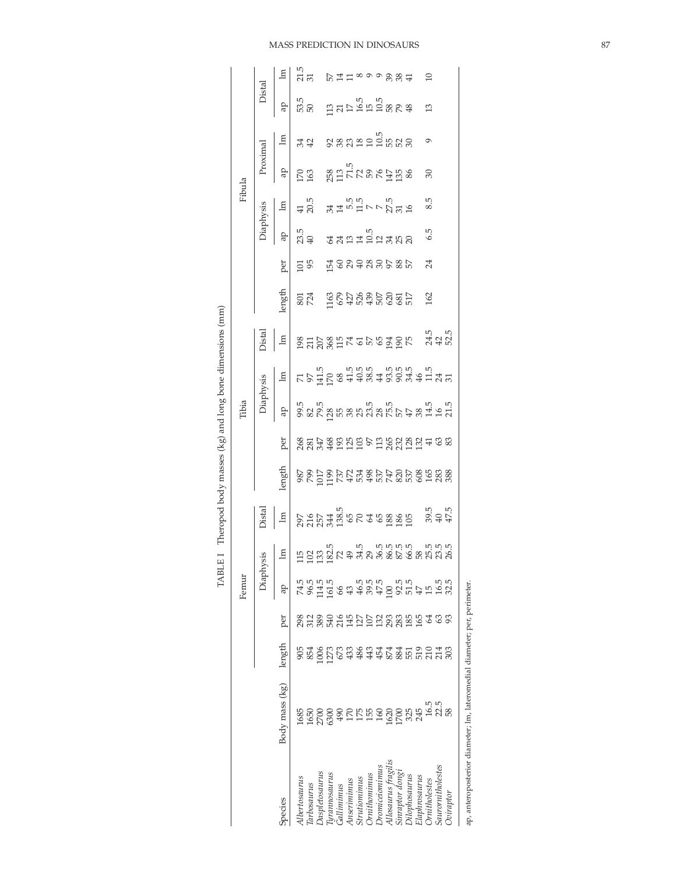|                            |                                                                          |          |            | Femur                 |                           |       |                             |     | Tibia     |                        |                            |                  |                            |                 | Fibula   |                |                                           |                       |
|----------------------------|--------------------------------------------------------------------------|----------|------------|-----------------------|---------------------------|-------|-----------------------------|-----|-----------|------------------------|----------------------------|------------------|----------------------------|-----------------|----------|----------------|-------------------------------------------|-----------------------|
|                            |                                                                          |          |            |                       | Diaphysis                 | Dista |                             |     | Jiaphysis | Distal                 |                            |                  |                            | Diaphysis       | Proximal |                | Distal                                    |                       |
| species                    | Body mass (kg)                                                           | length   | per        | ap                    |                           |       | length                      | per | ą         | la subsetzeresser gage | length                     | per              |                            | $\mathbb{E}$    | qp       | $\overline{e}$ | Ъъ                                        |                       |
| Albertosaurus              | 1685                                                                     | 905      | 86         | 74.5                  | $\pm$ 1283824338363693636 |       |                             |     |           |                        |                            |                  |                            |                 |          | 34 283225558   | 530 1317 1558 565<br>560 1555 565 566 566 | ri<br>His Dilinooogga |
| larbosaurus                | 165                                                                      | 854      | 312        | 96.5                  |                           |       |                             |     |           |                        |                            |                  |                            |                 |          |                |                                           |                       |
| Daspletosaurus             |                                                                          | 1006     | 89         |                       |                           |       |                             |     |           |                        |                            |                  |                            |                 |          |                |                                           |                       |
| urannosaurus               | 2700<br>530C                                                             | 1273     | 540        | $\frac{114.5}{161.5}$ |                           |       | $8889998777887787888888888$ |     |           |                        | <b>SEA SEARSESSER 2017</b> | ដ្ឋ ដូននទននទន្លេ | ng<br>2019 dang mangkalang | 412 34451575555 |          |                |                                           |                       |
| Gallimimus                 | $\overline{9}$                                                           | 673      |            |                       |                           |       |                             |     |           |                        |                            |                  |                            |                 |          |                |                                           |                       |
| Anseriminus                | 17(                                                                      | 433      | 2145       | 43                    |                           |       |                             |     |           |                        |                            |                  |                            |                 |          |                |                                           |                       |
| Strutiomimus               | 175                                                                      | 486      | 127        | 46.5                  |                           |       |                             |     |           |                        |                            |                  |                            |                 |          |                |                                           |                       |
| <i><b>Ornithomimus</b></i> | 155                                                                      | 443      | 107        | $39.5$<br>$47.5$      |                           |       |                             |     |           |                        |                            |                  |                            |                 |          |                |                                           |                       |
| Dromiceiomimus             | 160                                                                      |          |            |                       |                           |       |                             |     |           |                        |                            |                  |                            |                 |          |                |                                           |                       |
| Allosaurus fragilis        | 1620                                                                     |          | 132        | $\overline{0}$        |                           |       |                             |     |           |                        |                            |                  |                            |                 |          |                |                                           |                       |
| Sinraptor dong             | 1700                                                                     |          | 283<br>185 |                       |                           |       |                             |     |           |                        |                            |                  |                            |                 |          |                |                                           |                       |
| Dilophosaurus              | 325                                                                      | #\$#622# |            | 92.5<br>51.5<br>47    |                           |       |                             |     |           |                        |                            |                  |                            |                 |          |                |                                           |                       |
| Elaphrosaurus              | 245                                                                      |          | 591        |                       |                           |       |                             |     |           |                        |                            |                  |                            |                 |          |                |                                           |                       |
| Ornitholestes              | 16.5                                                                     |          | 2          |                       |                           |       |                             |     |           |                        |                            | 24               | 6.5                        | 8.5             | 30       | $\circ$        | 13                                        | 10                    |
| Saurornitholestes          | 22.5                                                                     |          | ය          | 15.5                  |                           |       |                             |     |           |                        |                            |                  |                            |                 |          |                |                                           |                       |
| <b>Dviraptor</b>           |                                                                          | 303      | 8          | 32.5                  |                           |       |                             |     |           |                        |                            |                  |                            |                 |          |                |                                           |                       |
|                            | ap, anteroposterior diameter; lm, lateromedial diameter; per, perimeter. |          |            |                       |                           |       |                             |     |           |                        |                            |                  |                            |                 |          |                |                                           |                       |
|                            |                                                                          |          |            |                       |                           |       |                             |     |           |                        |                            |                  |                            |                 |          |                |                                           |                       |

TABLE I Theropod body masses (kg) and long bone dimensions (mm) TABLE I Theropod body masses (kg) and long bone dimensions (mm)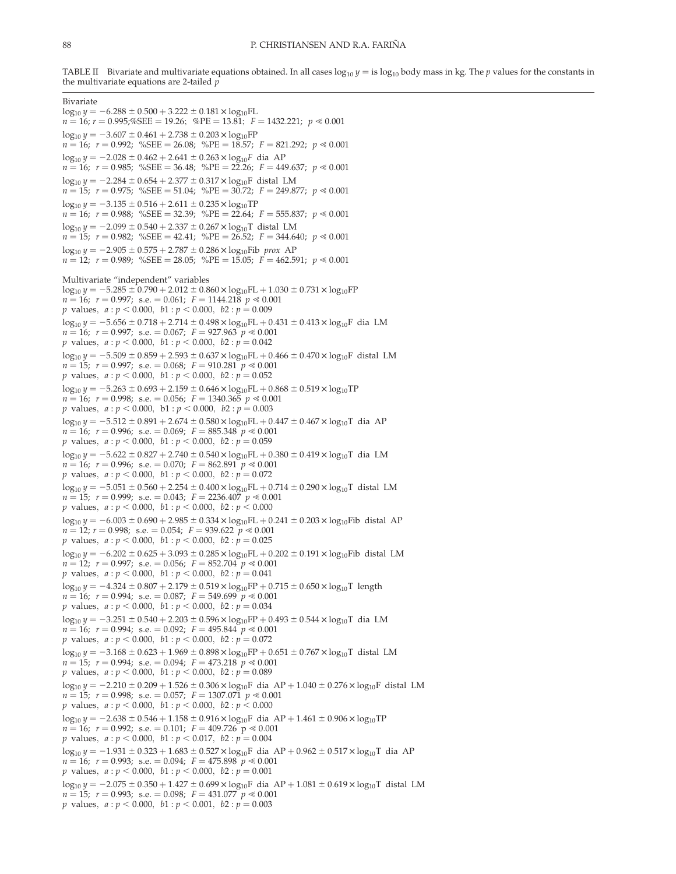TABLE II Bivariate and multivariate equations obtained. In all cases  $log_{10} y =$  is  $log_{10}$  body mass in kg. The p values for the constants in the multivariate equations are 2-tailed  $p$ 

Bivariate  $log_{10} y = -6.288 \pm 0.500 + 3.222 \pm 0.181 \times log_{10} FL$  $n = 16$ ;  $r = 0.995$ ;%SEE = 19.26; %PE = 13.81;  $F = 1432.221$ ;  $p \ll 0.001$  $\log_{10} \gamma = -3.607 \pm 0.461 + 2.738 \pm 0.203 \times \log_{10} FP$  $n = 16$ ;  $r = 0.992$ ; %SEE = 26.08; %PE = 18.57;  $F = 821.292$ ;  $p \ll 0.001$  $\log_{10} y = -2.028 \pm 0.462 + 2.641 \pm 0.263 \times \log_{10} F$  dia AP  $n = 16$ ;  $r = 0.985$ ; %SEE = 36.48; %PE = 22.26;  $F = 449.637$ ;  $p \ll 0.001$  $log_{10} y = -2.284 \pm 0.654 + 2.377 \pm 0.317 \times log_{10}F$  distal LM  $n = 15;$   $r = 0.975;$  %SEE = 51.04; %PE = 30.72;  $F = 249.877;$   $p \ll 0.001$  $\log_{10} y = -3.135 \pm 0.516 + 2.611 \pm 0.235 \times \log_{10} TP$  $n = 16$ ;  $r = 0.988$ ; %SEE = 32.39; %PE = 22.64;  $F = 555.837$ ;  $p \le 0.001$  $log_{10} \gamma = -2.099 \pm 0.540 + 2.337 \pm 0.267 \times log_{10}T$  distal LM  $n = 15;$   $r = 0.982;$  %SEE = 42.41; %PE = 26.52;  $F = 344.640;$   $p \ll 0.001$  $\log_{10} y = -2.905 \pm 0.575 + 2.787 \pm 0.286 \times \log_{10}$ Fib prox AP  $n = 12$ ;  $r = 0.989$ ; %SEE = 28.05; %PE = 15.05;  $F = 462.591$ ;  $p \ll 0.001$ Multivariate "independent" variables  $\log_{10} y = -5.285 \pm 0.790 + 2.012 \pm 0.860 \times \log_{10} FL + 1.030 \pm 0.731 \times \log_{10} FP$  $n = 16$ ;  $r = 0.997$ ; s.e.  $= 0.061$ ;  $F = 1144.218$   $p \ll 0.001$ *p* values,  $a : p < 0.000, b1 : p < 0.000, b2 : p = 0.009$  $\log_{10} y = -5.656 \pm 0.718 + 2.714 \pm 0.498 \times \log_{10} FL + 0.431 \pm 0.413 \times \log_{10} F$  dia LM  $n = 16$ ;  $r = 0.997$ ; s.e. = 0.067;  $F = 927.963$   $p \ll 0.001$ p values,  $a : p < 0.000, b1 : p < 0.000, b2 : p = 0.042$  $log_{10}$  y = -5.509  $\pm$  0.859 + 2.593  $\pm$  0.637  $\times$  log<sub>10</sub>FL + 0.466  $\pm$  0.470  $\times$  log<sub>10</sub>F distal LM  $n = 15;$   $r = 0.997;$  s.e.  $= 0.068;$   $F = 910.281 \, p \ll 0.001$ p values,  $a : p < 0.000, b1 : p < 0.000, b2 : p = 0.052$  $log_{10} y = -5.263 \pm 0.693 + 2.159 \pm 0.646 \times log_{10}FL + 0.868 \pm 0.519 \times log_{10}TP$  $n = 16$ ;  $r = 0.998$ ; s.e. = 0.056;  $F = 1340.365$   $p \ll 0.001$ p values,  $a : p < 0.000$ , b1 :  $p < 0.000$ , b2 :  $p = 0.003$  $log_{10} \gamma = -5.512 \pm 0.891 + 2.674 \pm 0.580 \times log_{10} FL + 0.447 \pm 0.467 \times log_{10}T$  dia AP  $n = 16;$   $r = 0.996;$  s.e.  $= 0.069;$   $F = 885.348 \gamma \le 0.001$ p values,  $a : p < 0.000, b1 : p < 0.000, b2 : p = 0.059$  $log_{10} \gamma = -5.622 \pm 0.827 + 2.740 \pm 0.540 \times log_{10}FL + 0.380 \pm 0.419 \times log_{10}T$  dia LM  $n = 16$ ;  $r = 0.996$ ; s.e.  $= 0.070$ ;  $F = 862.891$   $p \ll 0.001$ p values,  $a : p < 0.000, b1 : p < 0.000, b2 : p = 0.072$  $\log_{10} y = -5.051 \pm 0.560 + 2.254 \pm 0.400 \times \log_{10} FL + 0.714 \pm 0.290 \times \log_{10} T$  distal LM  $n = 15;$   $r = 0.999;$  s.e.  $= 0.043;$   $F = 2236.407$   $p \ll 0.001$  $p$  values,  $a : p < 0.000$ ,  $b1 : p < 0.000$ ,  $b2 : p < 0.000$  $\log_{10} y = -6.003 \pm 0.690 + 2.985 \pm 0.334 \times \log_{10} FL + 0.241 \pm 0.203 \times \log_{10} Fib$  distal AP  $n = 12$ ;  $r = 0.998$ ; s.e.  $= 0.054$ ;  $F = 939.622 \gamma \approx 0.001$ *p* values,  $a : p < 0.000, b1 : p < 0.000, b2 : p = 0.025$  $\log_{10} \gamma = -6.202 \pm 0.625 + 3.093 \pm 0.285 \times \log_{10} FL + 0.202 \pm 0.191 \times \log_{10} Fib$  distal LM  $n = 12$ ;  $r = 0.997$ ; s.e.  $= 0.056$ ;  $F = 852.704 \frac{\mu}{\rho} \le 0.001$ p values,  $a : p < 0.000$ ,  $b1 : p < 0.000$ ,  $b2 : p = 0.041$  $log_{10} \nu = -4.324 \pm 0.807 + 2.179 \pm 0.519 \times log_{10}FP + 0.715 \pm 0.650 \times log_{10}T$  length  $n = 16$ ;  $r = 0.994$ ; s.e.  $= 0.087$ ;  $F = 549.699$   $p \ll 0.001$ p values,  $a : p < 0.000, b1 : p < 0.000, b2 : p = 0.034$  $\log_{10} y = -3.251 \pm 0.540 + 2.203 \pm 0.596 \times \log_{10}FP + 0.493 \pm 0.544 \times \log_{10}T$  dia LM  $n = 16$ ;  $r = 0.994$ ; s.e. = 0.092;  $F = 495.844 \gamma \approx 0.001$ p values,  $a : p < 0.000$ ,  $b1 : p < 0.000$ ,  $b2 : p = 0.072$  $log_{10} \gamma = -3.168 \pm 0.623 + 1.969 \pm 0.898 \times log_{10}FP + 0.651 \pm 0.767 \times log_{10}T$  distal LM  $n = 15;$   $r = 0.994;$  s.e.  $= 0.094;$   $F = 473.218 \gamma \approx 0.001$ p values,  $a : p < 0.000, b1 : p < 0.000, b2 : p = 0.089$  $\log_{10} y = -2.210 \pm 0.209 + 1.526 \pm 0.306 \times \log_{10} F$  dia AP + 1.040  $\pm$  0.276  $\times$  log<sub>10</sub>F distal LM  $n = 15;$   $r = 0.998;$  s.e.  $= 0.057;$   $F = 1307.071$   $p \ll 0.001$ p values,  $a : p < 0.000, b1 : p < 0.000, b2 : p < 0.000$  $\log_{10} y = -2.638 \pm 0.546 + 1.158 \pm 0.916 \times \log_{10} F$  dia AP + 1.461  $\pm$  0.906  $\times$  log<sub>10</sub>TP  $n = 16;$   $r = 0.992;$  s.e.  $= 0.101;$   $F = 409.726$   $p \ll 0.001$ *p* values,  $a : p < 0.000$ ,  $b1 : p < 0.017$ ,  $b2 : p = 0.004$  $log_{10} \gamma = -1.931 \pm 0.323 + 1.683 \pm 0.527 \times log_{10}F$  dia AP + 0.962  $\pm$  0.517  $\times$  log<sub>10</sub>T dia AP  $n = 16$ ;  $r = 0.993$ ; s.e.  $= 0.094$ ;  $F = 475.898 \gamma \approx 0.001$ p values,  $a : p < 0.000$ ,  $b1 : p < 0.000$ ,  $b2 : p = 0.001$  $\log_{10} \gamma = -2.075 \pm 0.350 + 1.427 \pm 0.699 \times \log_{10} F$  dia AP + 1.081  $\pm$  0.619  $\times$  log<sub>10</sub>T distal LM  $n = 15$ ;  $r = 0.993$ ; s.e.  $= 0.098$ ;  $F = 431.077$   $p \ll 0.001$ p values,  $a : p < 0.000$ ,  $b1 : p < 0.001$ ,  $b2 : p = 0.003$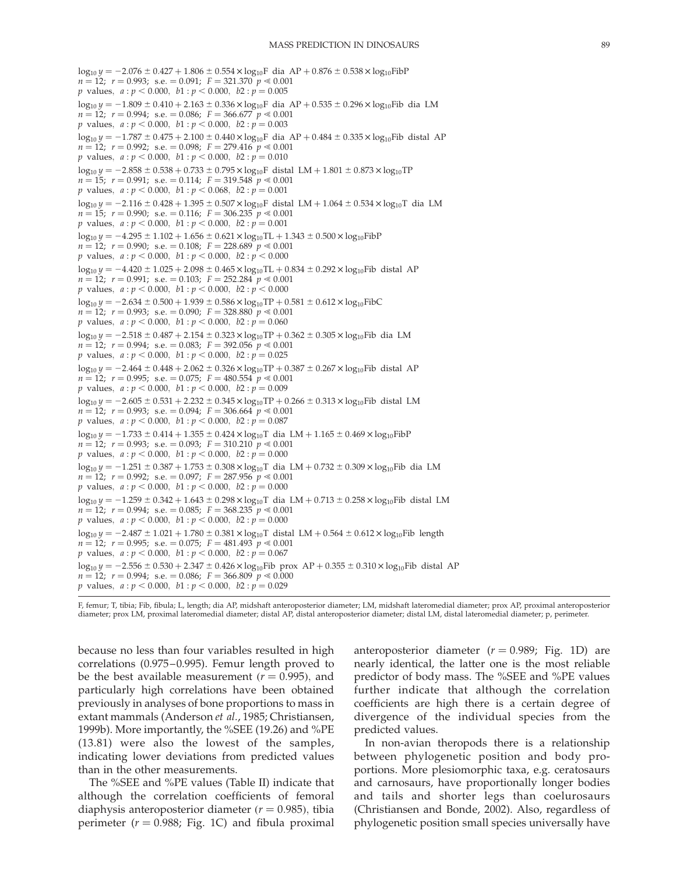```
\log_{10} y = -2.076 \pm 0.427 + 1.806 \pm 0.554 \times \log_{10}F dia AP + 0.876 \pm 0.538 \times log<sub>10</sub>FibP
n = 12; r = 0.993; s.e. = 0.091; F = 321.370 p \ll 0.001p values, a : p < 0.000, b1 : p < 0.000, b2 : p = 0.005\log_{10} y = -1.809 \pm 0.410 + 2.163 \pm 0.336 \times \log_{10}F dia AP + 0.535 \pm 0.296 \times log<sub>10</sub>Fib dia LM
n = 12; r = 0.994; \text{ s.e.} = 0.086; F = 366.677 \text{ } p \leq 0.001p values, a : p < 0.000, b1 : p < 0.000, b2 : p = 0.003\log_{10} y = -1.787 \pm 0.475 + 2.100 \pm 0.440 \times {\rm log_{10}F}dia AP + 0.484 \pm 0.335 \times log_{10}Fib distal AP 
n = 12; r = 0.992; s.e. = 0.098; F = 279.416 \frac{p}{\epsilon} \approx 0.001p values, a : p < 0.000, b1 : p < 0.000, b2 : p = 0.010\log_{10} y = -2.858 \pm 0.538 + 0.733 \pm 0.795 \times \log_{10} F distal LM + 1.801 \pm 0.873 \times log<sub>10</sub>TP
n = 15; r = 0.991; s.e. = 0.114; F = 319.548 \, p \le 0.001p values, a : p < 0.000, b1 : p < 0.068, b2 : p = 0.001\log_{10} y = -2.116 \pm 0.428 + 1.395 \pm 0.507 \times \log_{10} F distal LM + 1.064 \pm 0.534 \times log<sub>10</sub>T dia LM
n = 15; r = 0.990; s.e. = 0.116; F = 306.235 \, p \ll 0.001p values, a : p < 0.000, b1 : p < 0.000, b2 : p = 0.001log_{10} y = -4.295 \pm 1.102 + 1.656 \pm 0.621 \times log_{10}TL + 1.343 \pm 0.500 \times log_{10}FibPn = 12; r = 0.990; s.e. = 0.108; F = 228.689 p \le 0.001p values, a : p < 0.000, b1 : p < 0.000, b2 : p < 0.000\log_{10} y = -4.420 \pm 1.025 + 2.098 \pm 0.465 \times \log_{10} TL + 0.834 \pm 0.292 \times \log_{10} Fib distal AP
n = 12; r = 0.991; s.e. = 0.103; F = 252.284 p \ll 0.001p \text{ values}, \ a : p < 0.000, \ b1 : p < 0.000, \ b2 : p < 0.000log_{10} y = -2.634 \pm 0.500 + 1.939 \pm 0.586 \times log_{10}TP + 0.581 \pm 0.612 \times log_{10}FibCn = 12; r = 0.993; s.e. = 0.090; F = 328.880 \degree p \le 0.001p values, a : p < 0.000, b1 : p < 0.000, b2 : p = 0.060\log_{10} y = -2.518 \pm 0.487 + 2.154 \pm 0.323 \times \log_{10}TP + 0.362 \pm 0.305 \times \log_{10}Fib dia LM
n = 12; r = 0.994; s.e. = 0.083; F = 392.056 p \le 0.001p values, a : p < 0.000, b1 : p < 0.000, b2 : p = 0.025\log_{10} y = -2.464 \pm 0.448 + 2.062 \pm 0.326 \times \log_{10}TP + 0.387 \pm 0.267 \times \log_{10}Fib distal AP
n = 12; r = 0.995; s.e. = 0.075; F = 480.554 \, p \ll 0.001p values, a : p < 0.000, b1 : p < 0.000, b2 : p = 0.009\log_{10} \gamma = -2.605 \pm 0.531 + 2.232 \pm 0.345 \times \log_{10} \text{TP} + 0.266 \pm 0.313 \times \log_{10} \text{Fib}} distal LM
n = 12; r = 0.993; s.e. = 0.094; F = 306.664 p \le 0.001p values, a : p < 0.000, b1 : p < 0.000, b2 : p = 0.087log_{10} y = -1.733 \pm 0.414 + 1.355 \pm 0.424 \times log_{10}T dia LM + 1.165 \pm 0.469 \times log_{10}FibPn = 12; r = 0.993; s.e. = 0.093; F = 310.210 \text{ } p \ll 0.001p values, a : p < 0.000, b1 : p < 0.000, b2 : p = 0.000\log_{10} y = -1.251 \pm 0.387 + 1.753 \pm 0.308 \times {\rm log_{10}T} dia LM + 0.732 \pm 0.309 \times \log_{10}Fib dia LM 
n = 12; r = 0.992; s.e. = 0.097; F = 287.956 p \le 0.001p values, a : p < 0.000, b1 : p < 0.000, b2 : p = 0.000\log_{10} y = -1.259 \pm 0.342 + 1.643 \pm 0.298 \times \log_{10} T dia LM + 0.713 \pm 0.258 \times \log_{10} Fib distal LM
n = 12; r = 0.994; s.e. = 0.085; F = 368.235 \gamma \approx 0.001p values, a : p < 0.000, b1 : p < 0.000, b2 : p = 0.000\log_{10} y = -2.487 \pm 1.021 + 1.780 \pm 0.381 \times \log_{10} T distal LM + 0.564 \pm 0.612 \times log<sub>10</sub>Fib length
n = 12; r = 0.995; s.e. = 0.075; F = 481.493 p \le 0.001p values, a : p < 0.000, b1 : p < 0.000, b2 : p = 0.067\log_{10} y = -2.556 \pm 0.530 + 2.347 \pm 0.426 \times \log_{10}Fib prox AP + 0.355 \pm 0.310 \times log<sub>10</sub>Fib distal AP
n = 12; r = 0.994; s.e. = 0.086; F = 366.809 p \le 0.000p values, a : p < 0.000, b1 : p < 0.000, b2 : p = 0.029
```
F, femur; T, tibia; Fib, fibula; L, length; dia AP, midshaft anteroposterior diameter; LM, midshaft lateromedial diameter; prox AP, proximal anteroposterior diameter; prox LM, proximal lateromedial diameter; distal AP, distal anteroposterior diameter; distal LM, distal lateromedial diameter; p, perimeter.

because no less than four variables resulted in high correlations (0.975–0.995). Femur length proved to be the best available measurement ( $r = 0.995$ ), and particularly high correlations have been obtained previously in analyses of bone proportions to mass in extant mammals (Anderson et al., 1985; Christiansen, 1999b). More importantly, the %SEE (19.26) and %PE (13.81) were also the lowest of the samples, indicating lower deviations from predicted values than in the other measurements.

The %SEE and %PE values (Table II) indicate that although the correlation coefficients of femoral diaphysis anteroposterior diameter  $(r = 0.985)$ , tibia perimeter ( $r = 0.988$ ; Fig. 1C) and fibula proximal anteroposterior diameter  $(r = 0.989;$  Fig. 1D) are nearly identical, the latter one is the most reliable predictor of body mass. The %SEE and %PE values further indicate that although the correlation coefficients are high there is a certain degree of divergence of the individual species from the predicted values.

In non-avian theropods there is a relationship between phylogenetic position and body proportions. More plesiomorphic taxa, e.g. ceratosaurs and carnosaurs, have proportionally longer bodies and tails and shorter legs than coelurosaurs (Christiansen and Bonde, 2002). Also, regardless of phylogenetic position small species universally have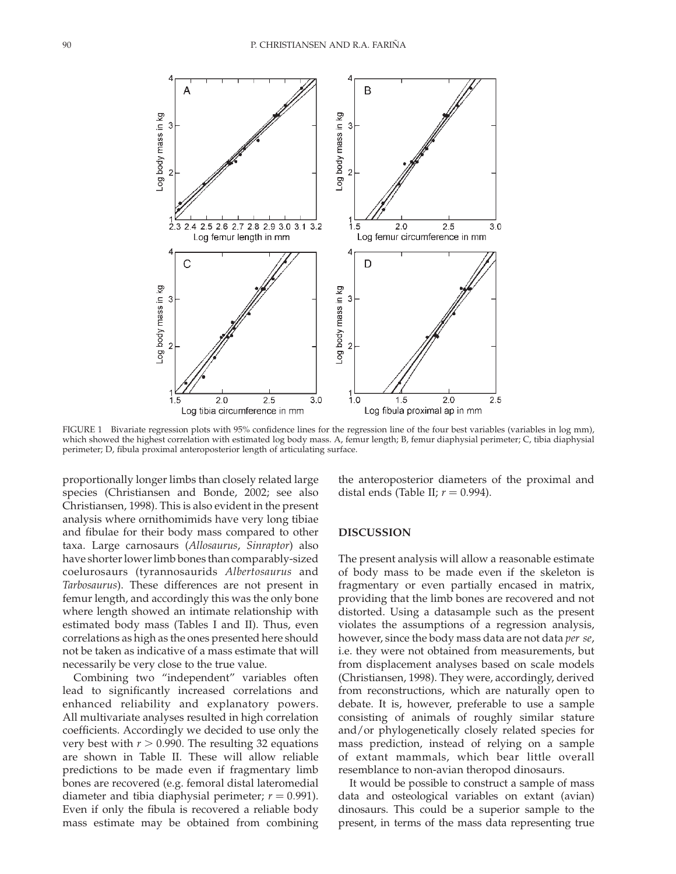

FIGURE 1 Bivariate regression plots with 95% confidence lines for the regression line of the four best variables (variables in log mm), which showed the highest correlation with estimated log body mass. A, femur length; B, femur diaphysial perimeter; C, tibia diaphysial perimeter; D, fibula proximal anteroposterior length of articulating surface.

proportionally longer limbs than closely related large species (Christiansen and Bonde, 2002; see also Christiansen, 1998). This is also evident in the present analysis where ornithomimids have very long tibiae and fibulae for their body mass compared to other taxa. Large carnosaurs (Allosaurus, Sinraptor) also have shorter lower limb bones than comparably-sized coelurosaurs (tyrannosaurids Albertosaurus and Tarbosaurus). These differences are not present in femur length, and accordingly this was the only bone where length showed an intimate relationship with estimated body mass (Tables I and II). Thus, even correlations as high as the ones presented here should not be taken as indicative of a mass estimate that will necessarily be very close to the true value.

Combining two "independent" variables often lead to significantly increased correlations and enhanced reliability and explanatory powers. All multivariate analyses resulted in high correlation coefficients. Accordingly we decided to use only the very best with  $r > 0.990$ . The resulting 32 equations are shown in Table II. These will allow reliable predictions to be made even if fragmentary limb bones are recovered (e.g. femoral distal lateromedial diameter and tibia diaphysial perimeter;  $r = 0.991$ ). Even if only the fibula is recovered a reliable body mass estimate may be obtained from combining the anteroposterior diameters of the proximal and distal ends (Table II;  $r = 0.994$ ).

#### DISCUSSION

The present analysis will allow a reasonable estimate of body mass to be made even if the skeleton is fragmentary or even partially encased in matrix, providing that the limb bones are recovered and not distorted. Using a datasample such as the present violates the assumptions of a regression analysis, however, since the body mass data are not data *per se*, i.e. they were not obtained from measurements, but from displacement analyses based on scale models (Christiansen, 1998). They were, accordingly, derived from reconstructions, which are naturally open to debate. It is, however, preferable to use a sample consisting of animals of roughly similar stature and/or phylogenetically closely related species for mass prediction, instead of relying on a sample of extant mammals, which bear little overall resemblance to non-avian theropod dinosaurs.

It would be possible to construct a sample of mass data and osteological variables on extant (avian) dinosaurs. This could be a superior sample to the present, in terms of the mass data representing true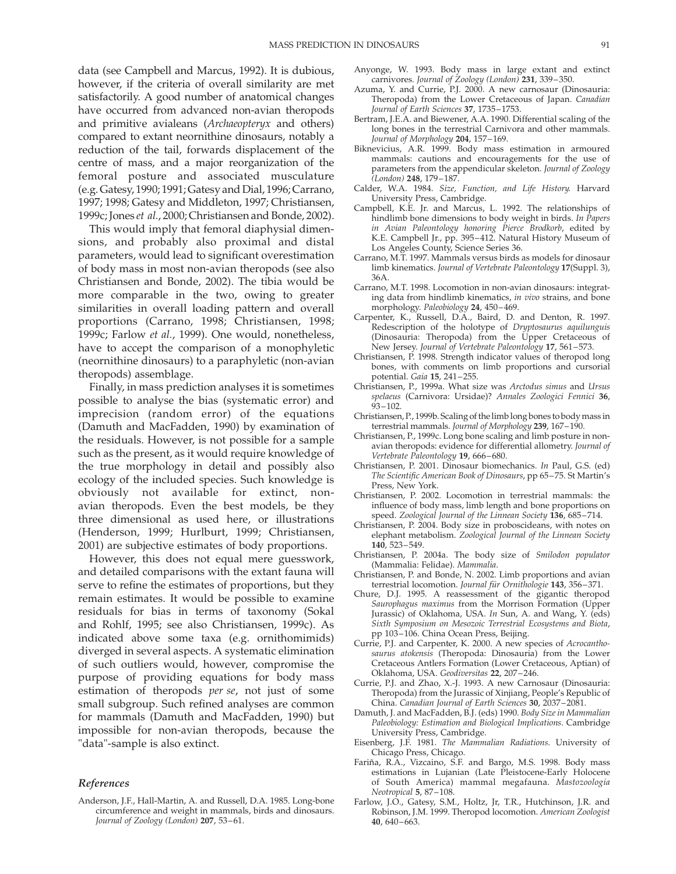data (see Campbell and Marcus, 1992). It is dubious, however, if the criteria of overall similarity are met satisfactorily. A good number of anatomical changes have occurred from advanced non-avian theropods and primitive avialeans (Archaeopteryx and others) compared to extant neornithine dinosaurs, notably a reduction of the tail, forwards displacement of the centre of mass, and a major reorganization of the femoral posture and associated musculature (e.g. Gatesy, 1990; 1991; Gatesy and Dial, 1996; Carrano, 1997; 1998; Gatesy and Middleton, 1997; Christiansen, 1999c; Jones et al., 2000; Christiansen and Bonde, 2002).

This would imply that femoral diaphysial dimensions, and probably also proximal and distal parameters, would lead to significant overestimation of body mass in most non-avian theropods (see also Christiansen and Bonde, 2002). The tibia would be more comparable in the two, owing to greater similarities in overall loading pattern and overall proportions (Carrano, 1998; Christiansen, 1998; 1999c; Farlow et al., 1999). One would, nonetheless, have to accept the comparison of a monophyletic (neornithine dinosaurs) to a paraphyletic (non-avian theropods) assemblage.

Finally, in mass prediction analyses it is sometimes possible to analyse the bias (systematic error) and imprecision (random error) of the equations (Damuth and MacFadden, 1990) by examination of the residuals. However, is not possible for a sample such as the present, as it would require knowledge of the true morphology in detail and possibly also ecology of the included species. Such knowledge is obviously not available for extinct, nonavian theropods. Even the best models, be they three dimensional as used here, or illustrations (Henderson, 1999; Hurlburt, 1999; Christiansen, 2001) are subjective estimates of body proportions.

However, this does not equal mere guesswork, and detailed comparisons with the extant fauna will serve to refine the estimates of proportions, but they remain estimates. It would be possible to examine residuals for bias in terms of taxonomy (Sokal and Rohlf, 1995; see also Christiansen, 1999c). As indicated above some taxa (e.g. ornithomimids) diverged in several aspects. A systematic elimination of such outliers would, however, compromise the purpose of providing equations for body mass estimation of theropods per se, not just of some small subgroup. Such refined analyses are common for mammals (Damuth and MacFadden, 1990) but impossible for non-avian theropods, because the "data"-sample is also extinct.

#### References

Anderson, J.F., Hall-Martin, A. and Russell, D.A. 1985. Long-bone circumference and weight in mammals, birds and dinosaurs. Journal of Zoology (London) 207, 53–61.

- Anyonge, W. 1993. Body mass in large extant and extinct carnivores. Journal of Zoology (London) 231, 339–350.
- Azuma, Y. and Currie, P.J. 2000. A new carnosaur (Dinosauria: Theropoda) from the Lower Cretaceous of Japan. Canadian Journal of Earth Sciences 37, 1735–1753.
- Bertram, J.E.A. and Biewener, A.A. 1990. Differential scaling of the long bones in the terrestrial Carnivora and other mammals. Journal of Morphology 204, 157-169.
- Biknevicius, A.R. 1999. Body mass estimation in armoured mammals: cautions and encouragements for the use of parameters from the appendicular skeleton. Journal of Zoology (London) 248, 179–187.
- Calder, W.A. 1984. Size, Function, and Life History. Harvard University Press, Cambridge.
- Campbell, K.E. Jr. and Marcus, L. 1992. The relationships of hindlimb bone dimensions to body weight in birds. In Papers in Avian Paleontology honoring Pierce Brodkorb, edited by K.E. Campbell Jr., pp. 395–412. Natural History Museum of Los Angeles County, Science Series 36.
- Carrano, M.T. 1997. Mammals versus birds as models for dinosaur limb kinematics. Journal of Vertebrate Paleontology 17(Suppl. 3), 36A.
- Carrano, M.T. 1998. Locomotion in non-avian dinosaurs: integrating data from hindlimb kinematics, in vivo strains, and bone morphology. Paleobiology 24, 450–469.
- Carpenter, K., Russell, D.A., Baird, D. and Denton, R. 1997. Redescription of the holotype of Dryptosaurus aquilunguis (Dinosauria: Theropoda) from the Upper Cretaceous of New Jersey. Journal of Vertebrate Paleontology 17, 561–573.
- Christiansen, P. 1998. Strength indicator values of theropod long bones, with comments on limb proportions and cursorial potential. Gaia 15, 241-255.
- Christiansen, P., 1999a. What size was Arctodus simus and Ursus spelaeus (Carnivora: Ursidae)? Annales Zoologici Fennici 36,  $93 - 102.$
- Christiansen, P., 1999b. Scaling of the limb long bones to body mass in terrestrial mammals. Journal of Morphology 239, 167-190.
- Christiansen, P., 1999c. Long bone scaling and limb posture in nonavian theropods: evidence for differential allometry. Journal of Vertebrate Paleontology 19, 666–680.
- Christiansen, P. 2001. Dinosaur biomechanics. In Paul, G.S. (ed) The Scientific American Book of Dinosaurs, pp 65–75. St Martin's Press, New York.
- Christiansen, P. 2002. Locomotion in terrestrial mammals: the influence of body mass, limb length and bone proportions on speed. Zoological Journal of the Linnean Society 136, 685-714.
- Christiansen, P. 2004. Body size in proboscideans, with notes on elephant metabolism. Zoological Journal of the Linnean Society 140, 523–549.
- Christiansen, P. 2004a. The body size of Smilodon populator (Mammalia: Felidae). Mammalia.
- Christiansen, P. and Bonde, N. 2002. Limb proportions and avian terrestrial locomotion. Journal für Ornithologie 143, 356-371.
- Chure, D.J. 1995. A reassessment of the gigantic theropod Saurophagus maximus from the Morrison Formation (Upper Jurassic) of Oklahoma, USA. In Sun, A. and Wang, Y. (eds) Sixth Symposium on Mesozoic Terrestrial Ecosystems and Biota, pp 103–106. China Ocean Press, Beijing.
- Currie, P.J. and Carpenter, K. 2000. A new species of Acrocanthosaurus atokensis (Theropoda: Dinosauria) from the Lower Cretaceous Antlers Formation (Lower Cretaceous, Aptian) of Oklahoma, USA. Geodiversitas 22, 207–246.
- Currie, P.J. and Zhao, X.-J. 1993. A new Carnosaur (Dinosauria: Theropoda) from the Jurassic of Xinjiang, People's Republic of China. Canadian Journal of Earth Sciences 30, 2037–2081.
- Damuth, J. and MacFadden, B.J. (eds) 1990. Body Size in Mammalian Paleobiology: Estimation and Biological Implications. Cambridge University Press, Cambridge.
- Eisenberg, J.F. 1981. The Mammalian Radiations. University of Chicago Press, Chicago.
- Fariña, R.A., Vizcaino, S.F. and Bargo, M.S. 1998. Body mass estimations in Lujanian (Late Pleistocene-Early Holocene of South America) mammal megafauna. Mastozoologia Neotropical 5, 87–108.
- Farlow, J.O., Gatesy, S.M., Holtz, Jr, T.R., Hutchinson, J.R. and Robinson, J.M. 1999. Theropod locomotion. American Zoologist 40, 640–663.